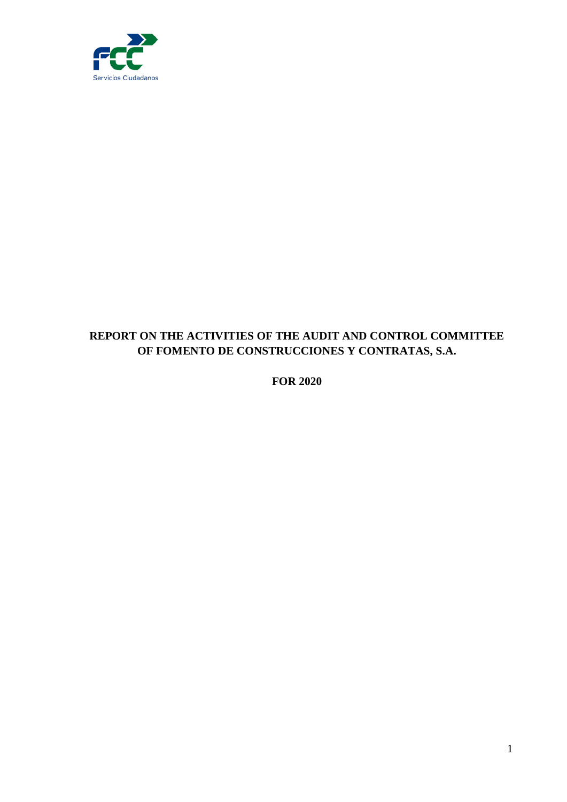

# **REPORT ON THE ACTIVITIES OF THE AUDIT AND CONTROL COMMITTEE OF FOMENTO DE CONSTRUCCIONES Y CONTRATAS, S.A.**

**FOR 2020**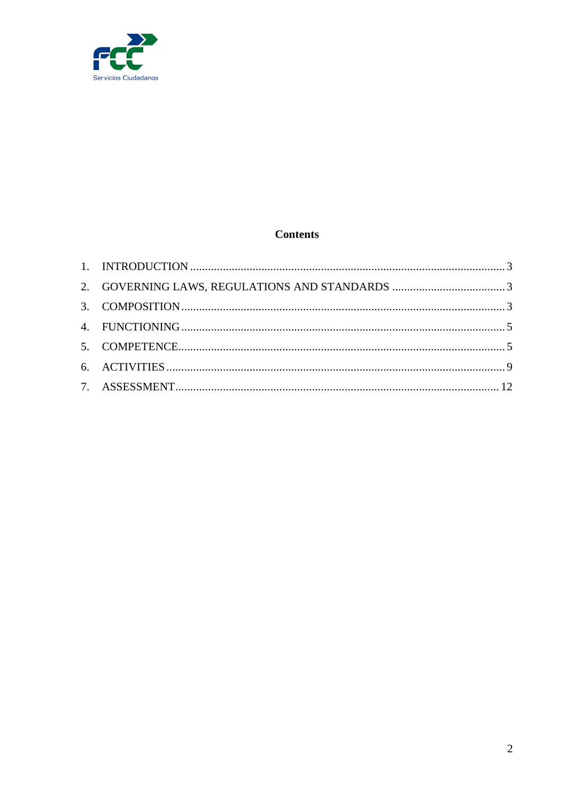

## **Contents**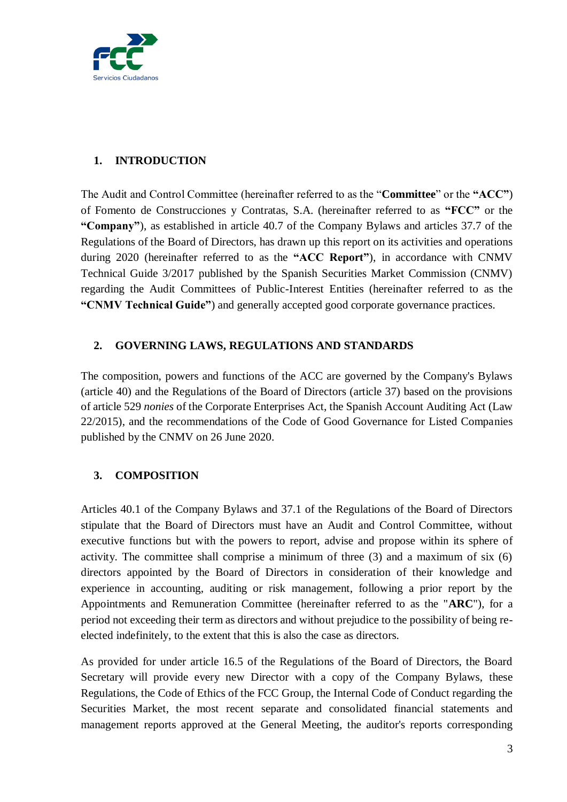

## <span id="page-2-0"></span>**1. INTRODUCTION**

The Audit and Control Committee (hereinafter referred to as the "**Committee**" or the **"ACC"**) of Fomento de Construcciones y Contratas, S.A. (hereinafter referred to as **"FCC"** or the **"Company"**), as established in article 40.7 of the Company Bylaws and articles 37.7 of the Regulations of the Board of Directors, has drawn up this report on its activities and operations during 2020 (hereinafter referred to as the **"ACC Report"**), in accordance with CNMV Technical Guide 3/2017 published by the Spanish Securities Market Commission (CNMV) regarding the Audit Committees of Public-Interest Entities (hereinafter referred to as the **"CNMV Technical Guide"**) and generally accepted good corporate governance practices.

### <span id="page-2-1"></span>**2. GOVERNING LAWS, REGULATIONS AND STANDARDS**

The composition, powers and functions of the ACC are governed by the Company's Bylaws (article 40) and the Regulations of the Board of Directors (article 37) based on the provisions of article 529 *nonies* of the Corporate Enterprises Act, the Spanish Account Auditing Act (Law 22/2015), and the recommendations of the Code of Good Governance for Listed Companies published by the CNMV on 26 June 2020.

## <span id="page-2-2"></span>**3. COMPOSITION**

Articles 40.1 of the Company Bylaws and 37.1 of the Regulations of the Board of Directors stipulate that the Board of Directors must have an Audit and Control Committee, without executive functions but with the powers to report, advise and propose within its sphere of activity. The committee shall comprise a minimum of three (3) and a maximum of six (6) directors appointed by the Board of Directors in consideration of their knowledge and experience in accounting, auditing or risk management, following a prior report by the Appointments and Remuneration Committee (hereinafter referred to as the "**ARC**"), for a period not exceeding their term as directors and without prejudice to the possibility of being reelected indefinitely, to the extent that this is also the case as directors.

As provided for under article 16.5 of the Regulations of the Board of Directors, the Board Secretary will provide every new Director with a copy of the Company Bylaws, these Regulations, the Code of Ethics of the FCC Group, the Internal Code of Conduct regarding the Securities Market, the most recent separate and consolidated financial statements and management reports approved at the General Meeting, the auditor's reports corresponding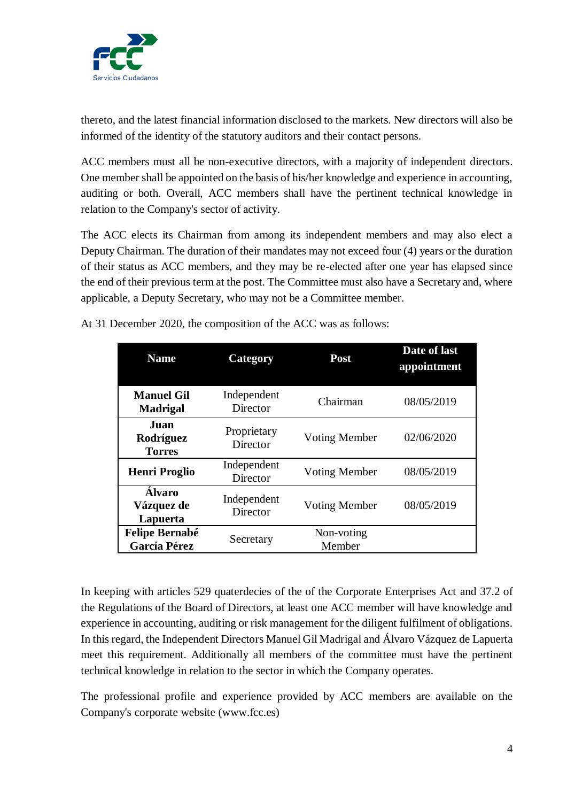

thereto, and the latest financial information disclosed to the markets. New directors will also be informed of the identity of the statutory auditors and their contact persons.

ACC members must all be non-executive directors, with a majority of independent directors. One member shall be appointed on the basis of his/her knowledge and experience in accounting, auditing or both. Overall, ACC members shall have the pertinent technical knowledge in relation to the Company's sector of activity.

The ACC elects its Chairman from among its independent members and may also elect a Deputy Chairman. The duration of their mandates may not exceed four (4) years or the duration of their status as ACC members, and they may be re-elected after one year has elapsed since the end of their previous term at the post. The Committee must also have a Secretary and, where applicable, a Deputy Secretary, who may not be a Committee member.

| <b>Name</b>                             | <b>Category</b>         | Post                 | Date of last<br>appointment |
|-----------------------------------------|-------------------------|----------------------|-----------------------------|
| <b>Manuel Gil</b><br><b>Madrigal</b>    | Independent<br>Director | Chairman             | 08/05/2019                  |
| Juan<br>Rodríguez<br><b>Torres</b>      | Proprietary<br>Director | <b>Voting Member</b> | 02/06/2020                  |
| <b>Henri Proglio</b>                    | Independent<br>Director | <b>Voting Member</b> | 08/05/2019                  |
| <b>Álvaro</b><br>Vázquez de<br>Lapuerta | Independent<br>Director | <b>Voting Member</b> | 08/05/2019                  |
| <b>Felipe Bernabé</b><br>García Pérez   | Secretary               | Non-voting<br>Member |                             |

At 31 December 2020, the composition of the ACC was as follows:

In keeping with articles 529 quaterdecies of the of the Corporate Enterprises Act and 37.2 of the Regulations of the Board of Directors, at least one ACC member will have knowledge and experience in accounting, auditing or risk management for the diligent fulfilment of obligations. In this regard, the Independent Directors Manuel Gil Madrigal and Álvaro Vázquez de Lapuerta meet this requirement. Additionally all members of the committee must have the pertinent technical knowledge in relation to the sector in which the Company operates.

The professional profile and experience provided by ACC members are available on the Company's corporate website (www.fcc.es)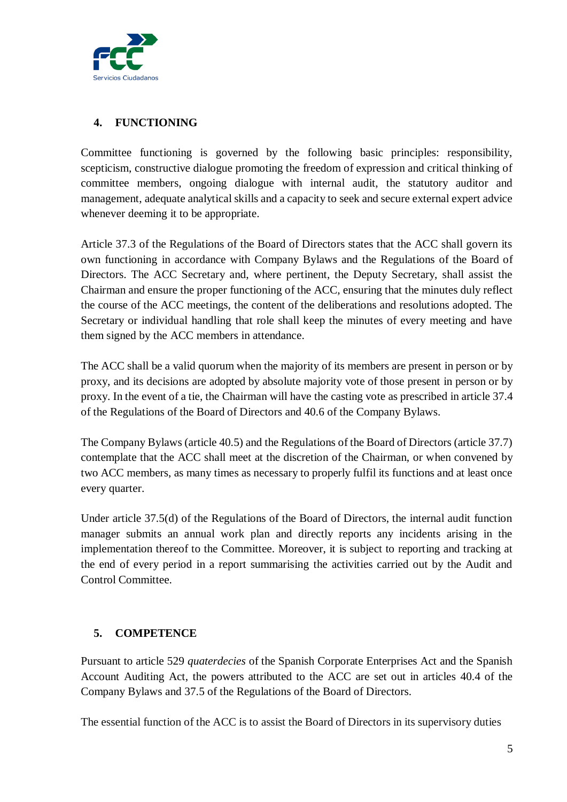

## <span id="page-4-0"></span>**4. FUNCTIONING**

Committee functioning is governed by the following basic principles: responsibility, scepticism, constructive dialogue promoting the freedom of expression and critical thinking of committee members, ongoing dialogue with internal audit, the statutory auditor and management, adequate analytical skills and a capacity to seek and secure external expert advice whenever deeming it to be appropriate.

Article 37.3 of the Regulations of the Board of Directors states that the ACC shall govern its own functioning in accordance with Company Bylaws and the Regulations of the Board of Directors. The ACC Secretary and, where pertinent, the Deputy Secretary, shall assist the Chairman and ensure the proper functioning of the ACC, ensuring that the minutes duly reflect the course of the ACC meetings, the content of the deliberations and resolutions adopted. The Secretary or individual handling that role shall keep the minutes of every meeting and have them signed by the ACC members in attendance.

The ACC shall be a valid quorum when the majority of its members are present in person or by proxy, and its decisions are adopted by absolute majority vote of those present in person or by proxy. In the event of a tie, the Chairman will have the casting vote as prescribed in article 37.4 of the Regulations of the Board of Directors and 40.6 of the Company Bylaws.

The Company Bylaws (article 40.5) and the Regulations of the Board of Directors (article 37.7) contemplate that the ACC shall meet at the discretion of the Chairman, or when convened by two ACC members, as many times as necessary to properly fulfil its functions and at least once every quarter.

Under article 37.5(d) of the Regulations of the Board of Directors, the internal audit function manager submits an annual work plan and directly reports any incidents arising in the implementation thereof to the Committee. Moreover, it is subject to reporting and tracking at the end of every period in a report summarising the activities carried out by the Audit and Control Committee.

# <span id="page-4-1"></span>**5. COMPETENCE**

Pursuant to article 529 *quaterdecies* of the Spanish Corporate Enterprises Act and the Spanish Account Auditing Act, the powers attributed to the ACC are set out in articles 40.4 of the Company Bylaws and 37.5 of the Regulations of the Board of Directors.

The essential function of the ACC is to assist the Board of Directors in its supervisory duties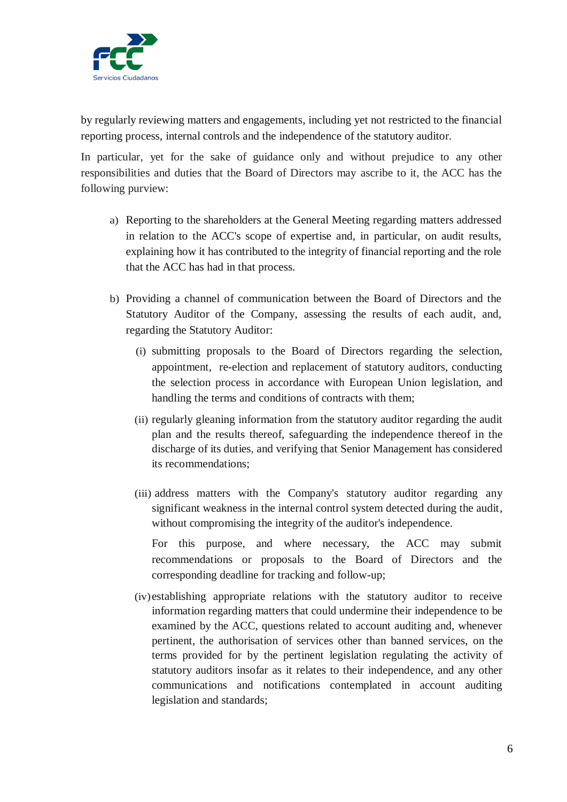

by regularly reviewing matters and engagements, including yet not restricted to the financial reporting process, internal controls and the independence of the statutory auditor.

In particular, yet for the sake of guidance only and without prejudice to any other responsibilities and duties that the Board of Directors may ascribe to it, the ACC has the following purview:

- a) Reporting to the shareholders at the General Meeting regarding matters addressed in relation to the ACC's scope of expertise and, in particular, on audit results, explaining how it has contributed to the integrity of financial reporting and the role that the ACC has had in that process.
- b) Providing a channel of communication between the Board of Directors and the Statutory Auditor of the Company, assessing the results of each audit, and, regarding the Statutory Auditor:
	- (i) submitting proposals to the Board of Directors regarding the selection, appointment, re-election and replacement of statutory auditors, conducting the selection process in accordance with European Union legislation, and handling the terms and conditions of contracts with them;
	- (ii) regularly gleaning information from the statutory auditor regarding the audit plan and the results thereof, safeguarding the independence thereof in the discharge of its duties, and verifying that Senior Management has considered its recommendations;
	- (iii) address matters with the Company's statutory auditor regarding any significant weakness in the internal control system detected during the audit, without compromising the integrity of the auditor's independence.

For this purpose, and where necessary, the ACC may submit recommendations or proposals to the Board of Directors and the corresponding deadline for tracking and follow-up;

(iv)establishing appropriate relations with the statutory auditor to receive information regarding matters that could undermine their independence to be examined by the ACC, questions related to account auditing and, whenever pertinent, the authorisation of services other than banned services, on the terms provided for by the pertinent legislation regulating the activity of statutory auditors insofar as it relates to their independence, and any other communications and notifications contemplated in account auditing legislation and standards;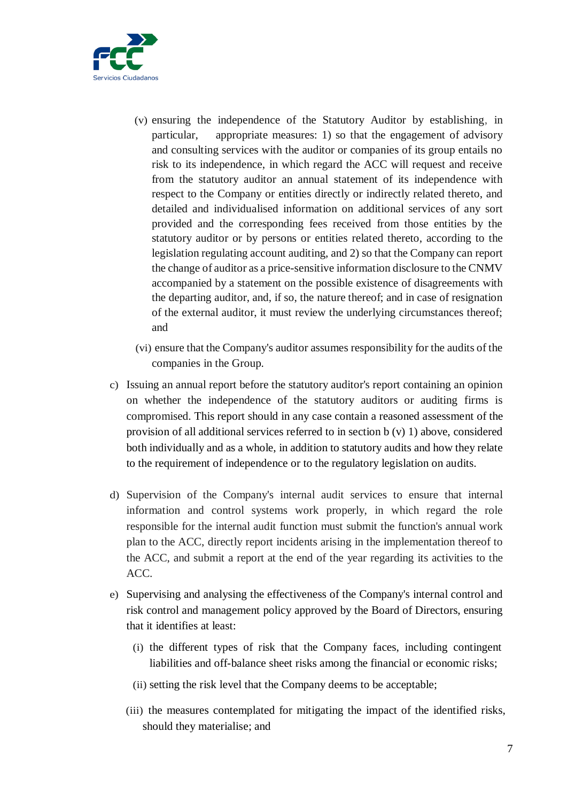

- (v) ensuring the independence of the Statutory Auditor by establishing, in particular, appropriate measures: 1) so that the engagement of advisory and consulting services with the auditor or companies of its group entails no risk to its independence, in which regard the ACC will request and receive from the statutory auditor an annual statement of its independence with respect to the Company or entities directly or indirectly related thereto, and detailed and individualised information on additional services of any sort provided and the corresponding fees received from those entities by the statutory auditor or by persons or entities related thereto, according to the legislation regulating account auditing, and 2) so that the Company can report the change of auditor as a price-sensitive information disclosure to the CNMV accompanied by a statement on the possible existence of disagreements with the departing auditor, and, if so, the nature thereof; and in case of resignation of the external auditor, it must review the underlying circumstances thereof; and
- (vi) ensure that the Company's auditor assumes responsibility for the audits of the companies in the Group.
- c) Issuing an annual report before the statutory auditor's report containing an opinion on whether the independence of the statutory auditors or auditing firms is compromised. This report should in any case contain a reasoned assessment of the provision of all additional services referred to in section b (v) 1) above, considered both individually and as a whole, in addition to statutory audits and how they relate to the requirement of independence or to the regulatory legislation on audits.
- d) Supervision of the Company's internal audit services to ensure that internal information and control systems work properly, in which regard the role responsible for the internal audit function must submit the function's annual work plan to the ACC, directly report incidents arising in the implementation thereof to the ACC, and submit a report at the end of the year regarding its activities to the ACC.
- e) Supervising and analysing the effectiveness of the Company's internal control and risk control and management policy approved by the Board of Directors, ensuring that it identifies at least:
	- (i) the different types of risk that the Company faces, including contingent liabilities and off-balance sheet risks among the financial or economic risks;
	- (ii) setting the risk level that the Company deems to be acceptable;
	- (iii) the measures contemplated for mitigating the impact of the identified risks, should they materialise; and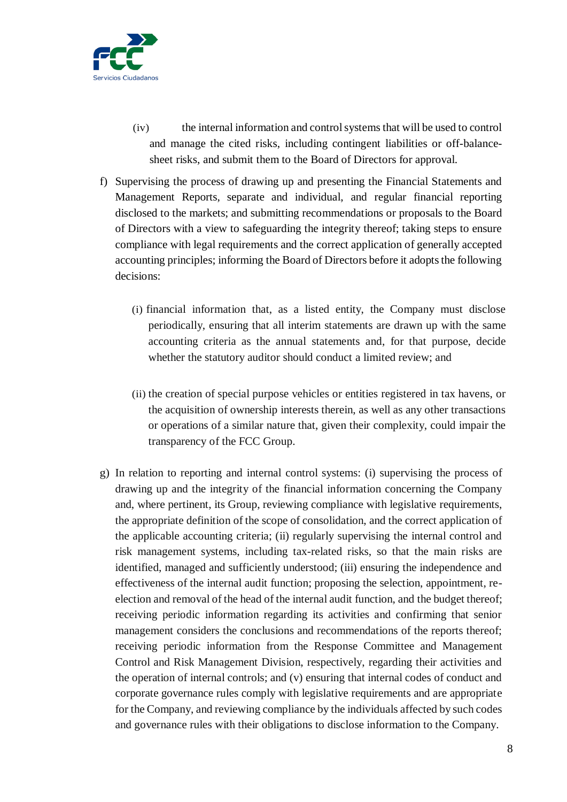

- (iv) the internal information and control systems that will be used to control and manage the cited risks, including contingent liabilities or off-balancesheet risks, and submit them to the Board of Directors for approval.
- f) Supervising the process of drawing up and presenting the Financial Statements and Management Reports, separate and individual, and regular financial reporting disclosed to the markets; and submitting recommendations or proposals to the Board of Directors with a view to safeguarding the integrity thereof; taking steps to ensure compliance with legal requirements and the correct application of generally accepted accounting principles; informing the Board of Directors before it adopts the following decisions:
	- (i) financial information that, as a listed entity, the Company must disclose periodically, ensuring that all interim statements are drawn up with the same accounting criteria as the annual statements and, for that purpose, decide whether the statutory auditor should conduct a limited review; and
	- (ii) the creation of special purpose vehicles or entities registered in tax havens, or the acquisition of ownership interests therein, as well as any other transactions or operations of a similar nature that, given their complexity, could impair the transparency of the FCC Group.
- g) In relation to reporting and internal control systems: (i) supervising the process of drawing up and the integrity of the financial information concerning the Company and, where pertinent, its Group, reviewing compliance with legislative requirements, the appropriate definition of the scope of consolidation, and the correct application of the applicable accounting criteria; (ii) regularly supervising the internal control and risk management systems, including tax-related risks, so that the main risks are identified, managed and sufficiently understood; (iii) ensuring the independence and effectiveness of the internal audit function; proposing the selection, appointment, reelection and removal of the head of the internal audit function, and the budget thereof; receiving periodic information regarding its activities and confirming that senior management considers the conclusions and recommendations of the reports thereof; receiving periodic information from the Response Committee and Management Control and Risk Management Division, respectively, regarding their activities and the operation of internal controls; and (v) ensuring that internal codes of conduct and corporate governance rules comply with legislative requirements and are appropriate for the Company, and reviewing compliance by the individuals affected by such codes and governance rules with their obligations to disclose information to the Company.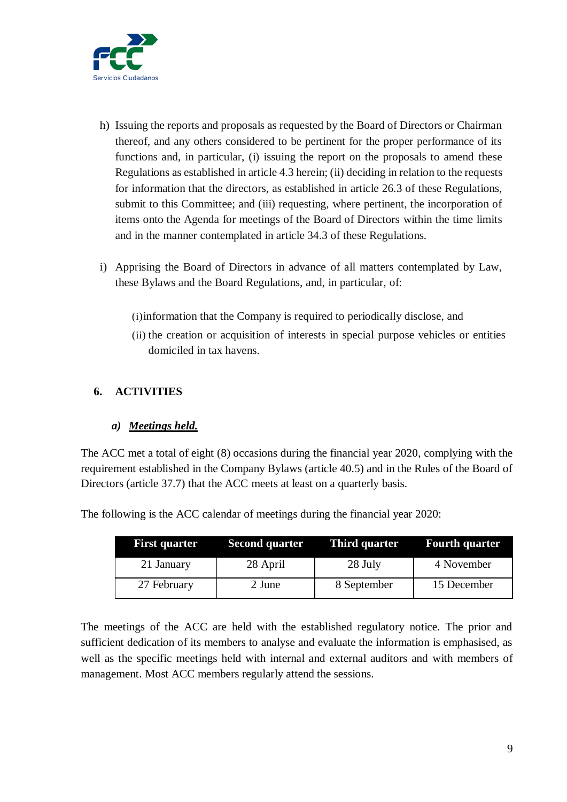

- h) Issuing the reports and proposals as requested by the Board of Directors or Chairman thereof, and any others considered to be pertinent for the proper performance of its functions and, in particular, (i) issuing the report on the proposals to amend these Regulations as established in article 4.3 herein; (ii) deciding in relation to the requests for information that the directors, as established in article 26.3 of these Regulations, submit to this Committee; and (iii) requesting, where pertinent, the incorporation of items onto the Agenda for meetings of the Board of Directors within the time limits and in the manner contemplated in article 34.3 of these Regulations.
- i) Apprising the Board of Directors in advance of all matters contemplated by Law, these Bylaws and the Board Regulations, and, in particular, of:
	- (i)information that the Company is required to periodically disclose, and
	- (ii) the creation or acquisition of interests in special purpose vehicles or entities domiciled in tax havens.

#### <span id="page-8-0"></span>**6. ACTIVITIES**

#### *a) Meetings held.*

The ACC met a total of eight (8) occasions during the financial year 2020, complying with the requirement established in the Company Bylaws (article 40.5) and in the Rules of the Board of Directors (article 37.7) that the ACC meets at least on a quarterly basis.

The following is the ACC calendar of meetings during the financial year 2020:

| <b>First quarter</b> | <b>Second quarter</b> | <b>Third quarter</b> | <b>Fourth quarter</b> |
|----------------------|-----------------------|----------------------|-----------------------|
| 21 January           | 28 April              | 28 July              | 4 November            |
| 27 February          | 2 June                | 8 September          | 15 December           |

The meetings of the ACC are held with the established regulatory notice. The prior and sufficient dedication of its members to analyse and evaluate the information is emphasised, as well as the specific meetings held with internal and external auditors and with members of management. Most ACC members regularly attend the sessions.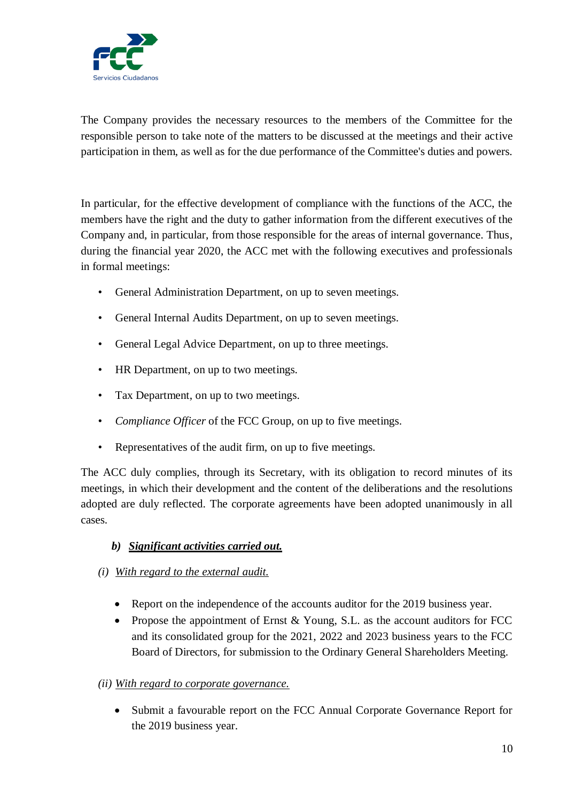

The Company provides the necessary resources to the members of the Committee for the responsible person to take note of the matters to be discussed at the meetings and their active participation in them, as well as for the due performance of the Committee's duties and powers.

In particular, for the effective development of compliance with the functions of the ACC, the members have the right and the duty to gather information from the different executives of the Company and, in particular, from those responsible for the areas of internal governance. Thus, during the financial year 2020, the ACC met with the following executives and professionals in formal meetings:

- General Administration Department, on up to seven meetings.
- General Internal Audits Department, on up to seven meetings.
- General Legal Advice Department, on up to three meetings.
- HR Department, on up to two meetings.
- Tax Department, on up to two meetings.
- *Compliance Officer* of the FCC Group, on up to five meetings.
- Representatives of the audit firm, on up to five meetings.

The ACC duly complies, through its Secretary, with its obligation to record minutes of its meetings, in which their development and the content of the deliberations and the resolutions adopted are duly reflected. The corporate agreements have been adopted unanimously in all cases.

## *b) Significant activities carried out.*

- *(i) With regard to the external audit.*
	- Report on the independence of the accounts auditor for the 2019 business year.
	- Propose the appointment of Ernst & Young, S.L. as the account auditors for FCC and its consolidated group for the 2021, 2022 and 2023 business years to the FCC Board of Directors, for submission to the Ordinary General Shareholders Meeting.

## *(ii) With regard to corporate governance.*

 Submit a favourable report on the FCC Annual Corporate Governance Report for the 2019 business year.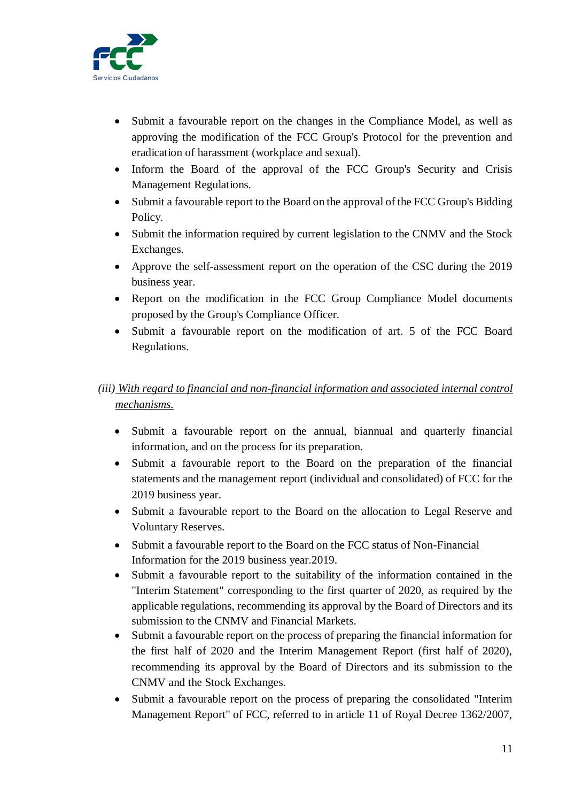

- Submit a favourable report on the changes in the Compliance Model, as well as approving the modification of the FCC Group's Protocol for the prevention and eradication of harassment (workplace and sexual).
- Inform the Board of the approval of the FCC Group's Security and Crisis Management Regulations.
- Submit a favourable report to the Board on the approval of the FCC Group's Bidding Policy.
- Submit the information required by current legislation to the CNMV and the Stock Exchanges.
- Approve the self-assessment report on the operation of the CSC during the 2019 business year.
- Report on the modification in the FCC Group Compliance Model documents proposed by the Group's Compliance Officer.
- Submit a favourable report on the modification of art. 5 of the FCC Board Regulations.

# *(iii) With regard to financial and non-financial information and associated internal control mechanisms.*

- Submit a favourable report on the annual, biannual and quarterly financial information, and on the process for its preparation.
- Submit a favourable report to the Board on the preparation of the financial statements and the management report (individual and consolidated) of FCC for the 2019 business year.
- Submit a favourable report to the Board on the allocation to Legal Reserve and Voluntary Reserves.
- Submit a favourable report to the Board on the FCC status of Non-Financial Information for the 2019 business year.2019.
- Submit a favourable report to the suitability of the information contained in the "Interim Statement" corresponding to the first quarter of 2020, as required by the applicable regulations, recommending its approval by the Board of Directors and its submission to the CNMV and Financial Markets.
- Submit a favourable report on the process of preparing the financial information for the first half of 2020 and the Interim Management Report (first half of 2020), recommending its approval by the Board of Directors and its submission to the CNMV and the Stock Exchanges.
- Submit a favourable report on the process of preparing the consolidated "Interim Management Report" of FCC, referred to in article 11 of Royal Decree 1362/2007,